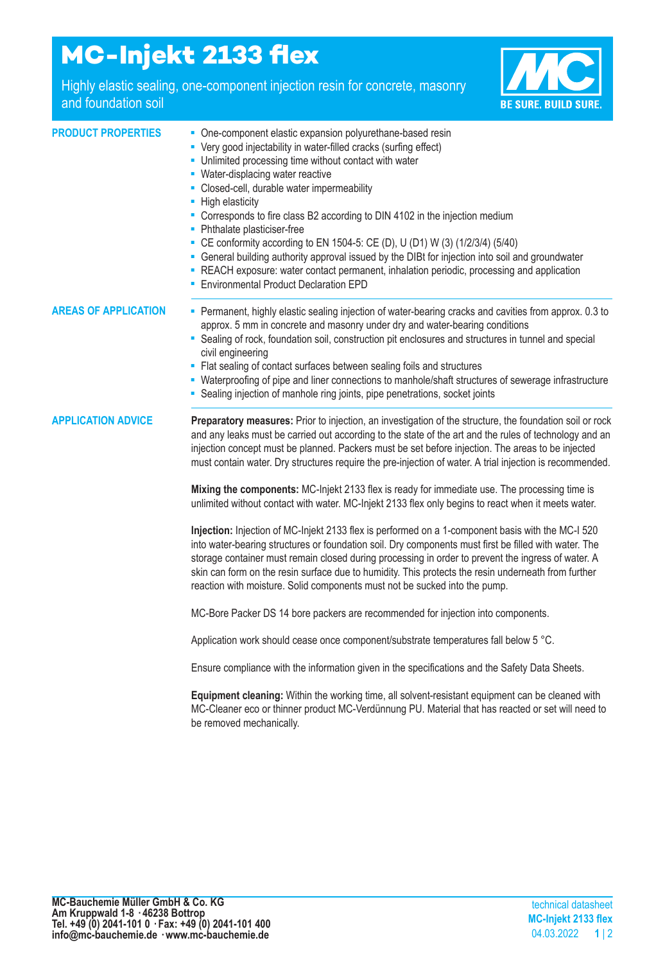## **MC-Injekt 2133 flex**

Highly elastic sealing, one-component injection resin for concrete, masonry and foundation soil



| <b>PRODUCT PROPERTIES</b>   | • One-component elastic expansion polyurethane-based resin<br>• Very good injectability in water-filled cracks (surfing effect)<br>- Unlimited processing time without contact with water<br>• Water-displacing water reactive<br>- Closed-cell, durable water impermeability<br>- High elasticity<br>- Corresponds to fire class B2 according to DIN 4102 in the injection medium<br>• Phthalate plasticiser-free<br>• CE conformity according to EN 1504-5: CE (D), U (D1) W (3) (1/2/3/4) (5/40)<br>- General building authority approval issued by the DIBt for injection into soil and groundwater<br>- REACH exposure: water contact permanent, inhalation periodic, processing and application<br><b>Environmental Product Declaration EPD</b>                                                                                                                                                                                                                                                                                                                                                                                                                                                                                                                                                                                                                                                                                                                                                                                  |
|-----------------------------|----------------------------------------------------------------------------------------------------------------------------------------------------------------------------------------------------------------------------------------------------------------------------------------------------------------------------------------------------------------------------------------------------------------------------------------------------------------------------------------------------------------------------------------------------------------------------------------------------------------------------------------------------------------------------------------------------------------------------------------------------------------------------------------------------------------------------------------------------------------------------------------------------------------------------------------------------------------------------------------------------------------------------------------------------------------------------------------------------------------------------------------------------------------------------------------------------------------------------------------------------------------------------------------------------------------------------------------------------------------------------------------------------------------------------------------------------------------------------------------------------------------------------------------|
| <b>AREAS OF APPLICATION</b> | Permanent, highly elastic sealing injection of water-bearing cracks and cavities from approx. 0.3 to<br>approx. 5 mm in concrete and masonry under dry and water-bearing conditions<br>• Sealing of rock, foundation soil, construction pit enclosures and structures in tunnel and special<br>civil engineering<br>• Flat sealing of contact surfaces between sealing foils and structures<br>" Waterproofing of pipe and liner connections to manhole/shaft structures of sewerage infrastructure<br>• Sealing injection of manhole ring joints, pipe penetrations, socket joints                                                                                                                                                                                                                                                                                                                                                                                                                                                                                                                                                                                                                                                                                                                                                                                                                                                                                                                                                    |
| <b>APPLICATION ADVICE</b>   | Preparatory measures: Prior to injection, an investigation of the structure, the foundation soil or rock<br>and any leaks must be carried out according to the state of the art and the rules of technology and an<br>injection concept must be planned. Packers must be set before injection. The areas to be injected<br>must contain water. Dry structures require the pre-injection of water. A trial injection is recommended.<br>Mixing the components: MC-Injekt 2133 flex is ready for immediate use. The processing time is<br>unlimited without contact with water. MC-Injekt 2133 flex only begins to react when it meets water.<br>Injection: Injection of MC-Injekt 2133 flex is performed on a 1-component basis with the MC-I 520<br>into water-bearing structures or foundation soil. Dry components must first be filled with water. The<br>storage container must remain closed during processing in order to prevent the ingress of water. A<br>skin can form on the resin surface due to humidity. This protects the resin underneath from further<br>reaction with moisture. Solid components must not be sucked into the pump.<br>MC-Bore Packer DS 14 bore packers are recommended for injection into components.<br>Application work should cease once component/substrate temperatures fall below 5 °C.<br>Ensure compliance with the information given in the specifications and the Safety Data Sheets.<br>Equipment cleaning: Within the working time, all solvent-resistant equipment can be cleaned with |
|                             | MC-Cleaner eco or thinner product MC-Verdünnung PU. Material that has reacted or set will need to<br>be removed mechanically.                                                                                                                                                                                                                                                                                                                                                                                                                                                                                                                                                                                                                                                                                                                                                                                                                                                                                                                                                                                                                                                                                                                                                                                                                                                                                                                                                                                                          |